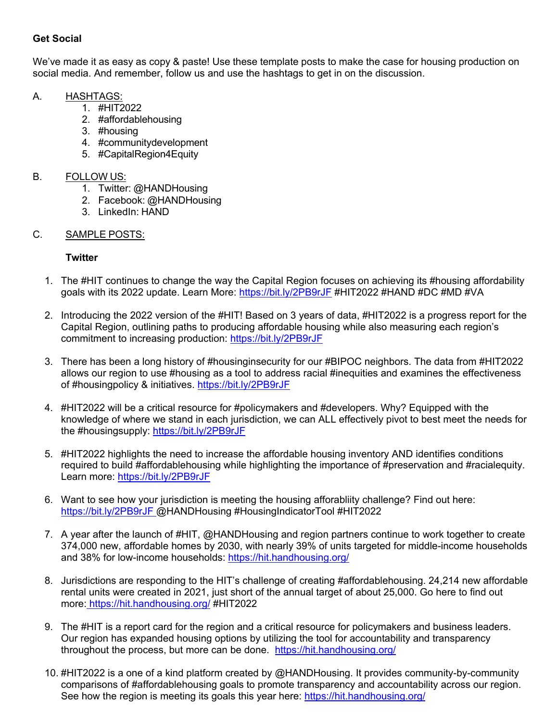# **Get Social**

We've made it as easy as copy & paste! Use these template posts to make the case for housing production on social media. And remember, follow us and use the hashtags to get in on the discussion.

### A. HASHTAGS:

- 1. #HIT2022
- 2. #affordablehousing
- 3. #housing
- 4. #communitydevelopment
- 5. #CapitalRegion4Equity

### B. FOLLOW US:

- 1. Twitter: @HANDHousing
- 2. Facebook: @HANDHousing
- 3. LinkedIn: HAND

# C. SAMPLE POSTS:

# **Twitter**

- 1. The #HIT continues to change the way the Capital Region focuses on achieving its #housing affordability goals with its 2022 update. Learn More:<https://bit.ly/2PB9rJF> #HIT2022 #HAND #DC #MD #VA
- 2. Introducing the 2022 version of the #HIT! Based on 3 years of data, #HIT2022 is a progress report for the Capital Region, outlining paths to producing affordable housing while also measuring each region's commitment to increasing production:<https://bit.ly/2PB9rJF>
- 3. There has been a long history of #housinginsecurity for our #BIPOC neighbors. The data from #HIT2022 allows our region to use #housing as a tool to address racial #inequities and examines the effectiveness of #housingpolicy & initiatives.<https://bit.ly/2PB9rJF>
- 4. #HIT2022 will be a critical resource for #policymakers and #developers. Why? Equipped with the knowledge of where we stand in each jurisdiction, we can ALL effectively pivot to best meet the needs for the #housingsupply:<https://bit.ly/2PB9rJF>
- 5. #HIT2022 highlights the need to increase the affordable housing inventory AND identifies conditions required to build #affordablehousing while highlighting the importance of #preservation and #racialequity. Learn more:<https://bit.ly/2PB9rJF>
- 6. Want to see how your jurisdiction is meeting the housing afforabliity challenge? Find out here: [https://bit.ly/2PB9rJF @](https://bit.ly/2PB9rJF)HANDHousing #HousingIndicatorTool #HIT2022
- 7. A year after the launch of #HIT, @HANDHousing and region partners continue to work together to create 374,000 new, affordable homes by 2030, with nearly 39% of units targeted for middle-income households and 38% for low-income households:<https://hit.handhousing.org/>
- 8. Jurisdictions are responding to the HIT's challenge of creating #affordablehousing. 24,214 new affordable rental units were created in 2021, just short of the annual target of about 25,000. Go here to find out more[:](https://bit.ly/2PB9rJF) <https://hit.handhousing.org/> #HIT2022
- 9. The #HIT is a report card for the region and a critical resource for policymakers and business leaders. Our region has expanded housing options by utilizing the tool for accountability and transparency throughout the process, but more can be done. <https://hit.handhousing.org/>
- 10. #HIT2022 is a one of a kind platform created by @HANDHousing. It provides community-by-community comparisons of #affordablehousing goals to promote transparency and accountability across our region. See how the region is meeting its goals this year here:<https://hit.handhousing.org/>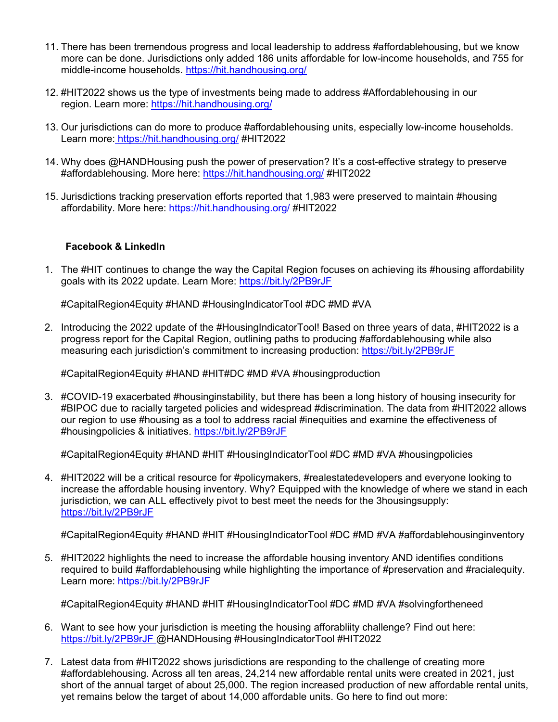- 11. There has been tremendous progress and local leadership to address #affordablehousing, but we know more can be done. Jurisdictions only added 186 units affordable for low-income households, and 755 for middle-income households. <https://hit.handhousing.org/>
- 12. #HIT2022 shows us the type of investments being made to address #Affordablehousing in our region. Learn more:<https://hit.handhousing.org/>
- 13. Our jurisdictions can do more to produce #affordablehousing units, especially low-income households. Learn more: <https://hit.handhousing.org/> #HIT2022
- 14. Why does @HANDHousing push the power of preservation? It's a cost-effective strategy to preserve #affordablehousing. More here:<https://hit.handhousing.org/> #HIT2022
- 15. Jurisdictions tracking preservation efforts reported that 1,983 were preserved to maintain #housing affordability. More here:<https://hit.handhousing.org/> #HIT2022

### **Facebook & LinkedIn**

1. The #HIT continues to change the way the Capital Region focuses on achieving its #housing affordability goals with its 2022 update. Learn More:<https://bit.ly/2PB9rJF>

#CapitalRegion4Equity #HAND #HousingIndicatorTool #DC #MD #VA

2. Introducing the 2022 update of the #HousingIndicatorTool! Based on three years of data, #HIT2022 is a progress report for the Capital Region, outlining paths to producing #affordablehousing while also measuring each jurisdiction's commitment to increasing production:<https://bit.ly/2PB9rJF>

#CapitalRegion4Equity #HAND #HIT#DC #MD #VA #housingproduction

3. #COVID-19 exacerbated #housinginstability, but there has been a long history of housing insecurity for #BIPOC due to racially targeted policies and widespread #discrimination. The data from #HIT2022 allows our region to use #housing as a tool to address racial #inequities and examine the effectiveness of #housingpolicies & initiatives.<https://bit.ly/2PB9rJF>

#CapitalRegion4Equity #HAND #HIT #HousingIndicatorTool #DC #MD #VA #housingpolicies

4. #HIT2022 will be a critical resource for #policymakers, #realestatedevelopers and everyone looking to increase the affordable housing inventory. Why? Equipped with the knowledge of where we stand in each jurisdiction, we can ALL effectively pivot to best meet the needs for the 3housingsupply: <https://bit.ly/2PB9rJF>

#CapitalRegion4Equity #HAND #HIT #HousingIndicatorTool #DC #MD #VA #affordablehousinginventory

5. #HIT2022 highlights the need to increase the affordable housing inventory AND identifies conditions required to build #affordablehousing while highlighting the importance of #preservation and #racialequity. Learn more:<https://bit.ly/2PB9rJF>

#CapitalRegion4Equity #HAND #HIT #HousingIndicatorTool #DC #MD #VA #solvingfortheneed

- 6. Want to see how your jurisdiction is meeting the housing afforabliity challenge? Find out here: [https://bit.ly/2PB9rJF @](https://bit.ly/2PB9rJF)HANDHousing #HousingIndicatorTool #HIT2022
- 7. Latest data from #HIT2022 shows jurisdictions are responding to the challenge of creating more #affordablehousing. Across all ten areas, 24,214 new affordable rental units were created in 2021, just short of the annual target of about 25,000. The region increased production of new affordable rental units, yet remains below the target of about 14,000 affordable units. Go here to find out more: